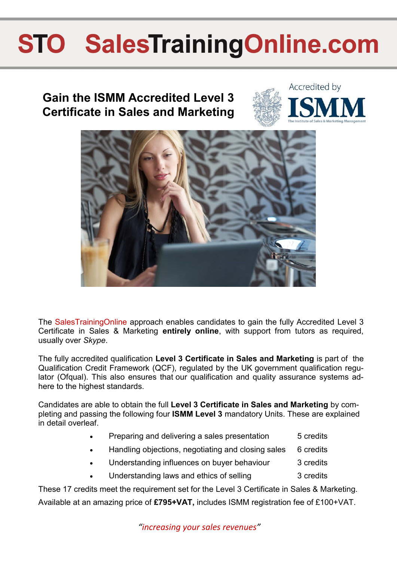### **Gain the ISMM Accredited Level 3 Certificate in Sales and Marketing**





The SalesTrainingOnline approach enables candidates to gain the fully Accredited [Level 3](http://www.salestrainingonline.com/soca/files/images/Level%203%20Certificate.jpg)  [Certificate in Sales & Marketing](http://www.salestrainingonline.com/soca/files/images/Level%203%20Certificate.jpg) **entirely online**, with support from tutors as required, usually over *Skype*.

The fully accredited qualification **[Level 3 Certificate in Sales and Marketing](http://www.salestrainingonline.com/soca/files/images/Level%203%20Certificate.jpg)** is part of the Qualification Credit Framework (QCF), regulated by the UK government qualification regulator (Ofqual). This also ensures that our qualification and quality assurance systems adhere to the highest standards.

Candidates are able to obtain the full **[Level 3 Certificate in Sales and Marketing](http://www.salestrainingonline.com/soca/files/images/Level%203%20Certificate.jpg)** by completing and passing the following four **ISMM Level 3** mandatory Units. These are explained in detail overleaf.

- Preparing and delivering a sales presentation 5 credits
- Handling objections, negotiating and closing sales 6 credits
- Understanding influences on buyer behaviour 3 credits
- Understanding laws and ethics of selling 3 credits

These 17 credits meet the requirement set for the [Level 3 Certificate in Sales & Marketing.](http://www.salestrainingonline.com/soca/files/images/Level%203%20Certificate.jpg)  Available at an amazing price of **£795+VAT,** includes ISMM registration fee of £100+VAT.

*"increasing your sales revenues"*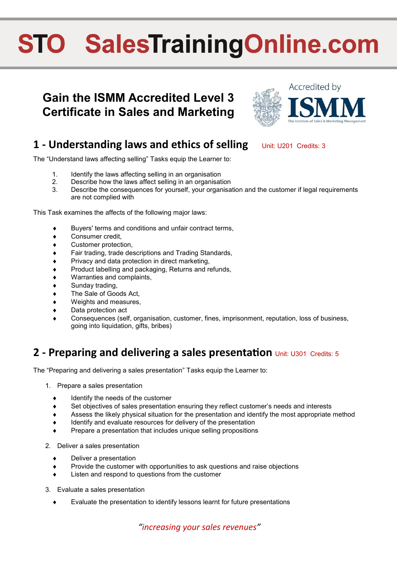### **Gain the ISMM Accredited Level 3 Certificate in Sales and Marketing**



#### **1 - Understanding laws and ethics of selling Unit: U201 Credits: 3**

The "Understand laws affecting selling" Tasks equip the Learner to:

- 1. Identify the laws affecting selling in an organisation
- 2. Describe how the laws affect selling in an organisation
- 3. Describe the consequences for yourself, your organisation and the customer if legal requirements are not complied with

This Task examines the affects of the following major laws:

- Buyers' terms and conditions and unfair contract terms,
- Consumer credit,
- Customer protection,
- Fair trading, trade descriptions and Trading Standards,
- Privacy and data protection in direct marketing,
- Product labelling and packaging, Returns and refunds,
- Warranties and complaints,
- Sunday trading,
- The Sale of Goods Act,
- Weights and measures,
- Data protection act
- Consequences (self, organisation, customer, fines, imprisonment, reputation, loss of business, going into liquidation, gifts, bribes)

#### **2 - Preparing and delivering a sales presentation** Unit: U301 Credits: 5

The "Preparing and delivering a sales presentation" Tasks equip the Learner to:

- 1. Prepare a sales presentation
	- Identify the needs of the customer
	- Set objectives of sales presentation ensuring they reflect customer's needs and interests
	- Assess the likely physical situation for the presentation and identify the most appropriate method
	- Identify and evaluate resources for delivery of the presentation
	- Prepare a presentation that includes unique selling propositions
- 2. Deliver a sales presentation
	- Deliver a presentation
	- Provide the customer with opportunities to ask questions and raise objections
	- Listen and respond to questions from the customer
- 3. Evaluate a sales presentation
	- Evaluate the presentation to identify lessons learnt for future presentations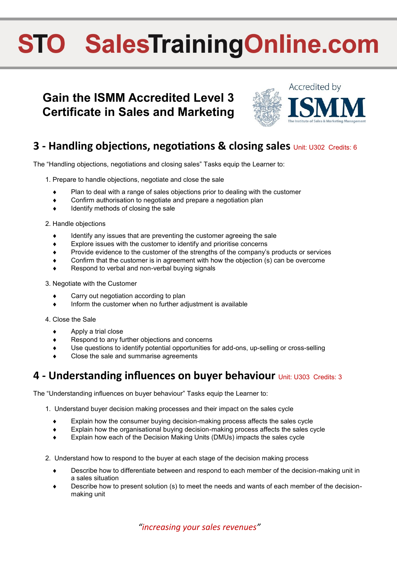### **Gain the ISMM Accredited Level 3 Certificate in Sales and Marketing**



#### **3 - Handling objections, negotiations & closing sales Unit: U302 Credits: 6**

The "Handling objections, negotiations and closing sales" Tasks equip the Learner to:

- 1. Prepare to handle objections, negotiate and close the sale
	- Plan to deal with a range of sales objections prior to dealing with the customer
	- Confirm authorisation to negotiate and prepare a negotiation plan
	- Identify methods of closing the sale
- 2. Handle objections
	- Identify any issues that are preventing the customer agreeing the sale
	- Explore issues with the customer to identify and prioritise concerns
	- Provide evidence to the customer of the strengths of the company's products or services
	- Confirm that the customer is in agreement with how the objection (s) can be overcome
	- Respond to verbal and non-verbal buying signals
- 3. Negotiate with the Customer
	- Carry out negotiation according to plan
	- Inform the customer when no further adjustment is available
- 4. Close the Sale
	- $\leftrightarrow$  Apply a trial close
	- Respond to any further objections and concerns
	- Use questions to identify potential opportunities for add-ons, up-selling or cross-selling
	- Close the sale and summarise agreements

#### **4 - Understanding influences on buyer behaviour** Unit: U303 Credits: 3

The "Understanding influences on buyer behaviour" Tasks equip the Learner to:

- 1. Understand buyer decision making processes and their impact on the sales cycle
	- Explain how the consumer buying decision-making process affects the sales cycle
	- Explain how the organisational buying decision-making process affects the sales cycle
	- Explain how each of the Decision Making Units (DMUs) impacts the sales cycle
- 2. Understand how to respond to the buyer at each stage of the decision making process
	- Describe how to differentiate between and respond to each member of the decision-making unit in a sales situation
	- Describe how to present solution (s) to meet the needs and wants of each member of the decisionmaking unit

*"increasing your sales revenues"*